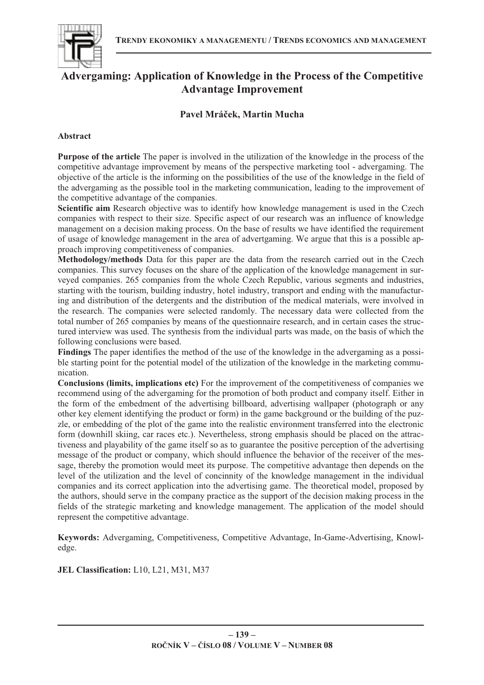

# **Advergaming: Application of Knowledge in the Process of the Competitive Advantage Improvement**

## **Pavel Mrá-ek, Martin Mucha**

## **Abstract**

**Purpose of the article** The paper is involved in the utilization of the knowledge in the process of the competitive advantage improvement by means of the perspective marketing tool - advergaming. The objective of the article is the informing on the possibilities of the use of the knowledge in the field of the advergaming as the possible tool in the marketing communication, leading to the improvement of the competitive advantage of the companies.

**Scientific aim** Research objective was to identify how knowledge management is used in the Czech companies with respect to their size. Specific aspect of our research was an influence of knowledge management on a decision making process. On the base of results we have identified the requirement of usage of knowledge management in the area of advertgaming. We argue that this is a possible approach improving competitiveness of companies.

**Methodology/methods** Data for this paper are the data from the research carried out in the Czech companies. This survey focuses on the share of the application of the knowledge management in surveyed companies. 265 companies from the whole Czech Republic, various segments and industries, starting with the tourism, building industry, hotel industry, transport and ending with the manufacturing and distribution of the detergents and the distribution of the medical materials, were involved in the research. The companies were selected randomly. The necessary data were collected from the total number of 265 companies by means of the questionnaire research, and in certain cases the structured interview was used. The synthesis from the individual parts was made, on the basis of which the following conclusions were based.

**Findings** The paper identifies the method of the use of the knowledge in the advergaming as a possible starting point for the potential model of the utilization of the knowledge in the marketing communication.

**Conclusions (limits, implications etc)** For the improvement of the competitiveness of companies we recommend using of the advergaming for the promotion of both product and company itself. Either in the form of the embedment of the advertising billboard, advertising wallpaper (photograph or any other key element identifying the product or form) in the game background or the building of the puzzle, or embedding of the plot of the game into the realistic environment transferred into the electronic form (downhill skiing, car races etc.). Nevertheless, strong emphasis should be placed on the attractiveness and playability of the game itself so as to guarantee the positive perception of the advertising message of the product or company, which should influence the behavior of the receiver of the message, thereby the promotion would meet its purpose. The competitive advantage then depends on the level of the utilization and the level of concinnity of the knowledge management in the individual companies and its correct application into the advertising game. The theoretical model, proposed by the authors, should serve in the company practice as the support of the decision making process in the fields of the strategic marketing and knowledge management. The application of the model should represent the competitive advantage.

**Keywords:** Advergaming, Competitiveness, Competitive Advantage, In-Game-Advertising, Knowledge.

**JEL Classification:** L10, L21, M31, M37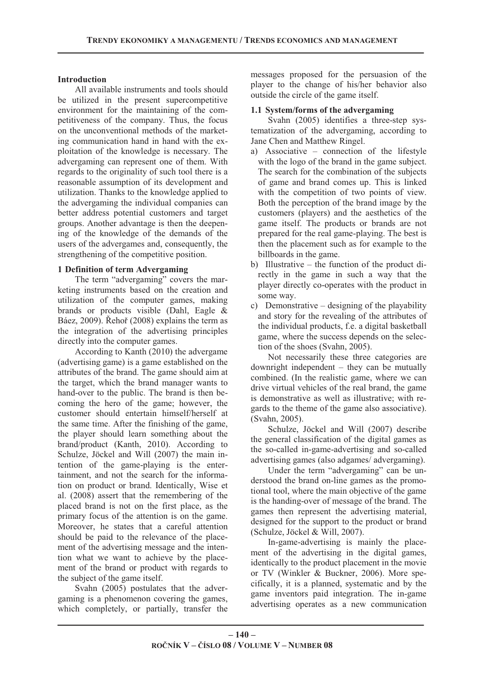#### **Introduction**

All available instruments and tools should be utilized in the present supercompetitive environment for the maintaining of the competitiveness of the company. Thus, the focus on the unconventional methods of the marketing communication hand in hand with the exploitation of the knowledge is necessary. The advergaming can represent one of them. With regards to the originality of such tool there is a reasonable assumption of its development and utilization. Thanks to the knowledge applied to the advergaming the individual companies can better address potential customers and target groups. Another advantage is then the deepening of the knowledge of the demands of the users of the advergames and, consequently, the strengthening of the competitive position.

## **1 Definition of term Advergaming**

The term "advergaming" covers the marketing instruments based on the creation and utilization of the computer games, making brands or products visible (Dahl, Eagle & Báez, 2009). Řehoř (2008) explains the term as the integration of the advertising principles directly into the computer games.

According to Kanth (2010) the advergame (advertising game) is a game established on the attributes of the brand. The game should aim at the target, which the brand manager wants to hand-over to the public. The brand is then becoming the hero of the game; however, the customer should entertain himself/herself at the same time. After the finishing of the game, the player should learn something about the brand/product (Kanth, 2010). According to Schulze, Jöckel and Will (2007) the main intention of the game-playing is the entertainment, and not the search for the information on product or brand. Identically, Wise et al. (2008) assert that the remembering of the placed brand is not on the first place, as the primary focus of the attention is on the game. Moreover, he states that a careful attention should be paid to the relevance of the placement of the advertising message and the intention what we want to achieve by the placement of the brand or product with regards to the subject of the game itself.

Svahn (2005) postulates that the advergaming is a phenomenon covering the games, which completely, or partially, transfer the

messages proposed for the persuasion of the player to the change of his/her behavior also outside the circle of the game itself.

#### **1.1 System/forms of the advergaming**

Svahn (2005) identifies a three-step systematization of the advergaming, according to Jane Chen and Matthew Ringel.

- a) Associative connection of the lifestyle with the logo of the brand in the game subject. The search for the combination of the subjects of game and brand comes up. This is linked with the competition of two points of view. Both the perception of the brand image by the customers (players) and the aesthetics of the game itself. The products or brands are not prepared for the real game-playing. The best is then the placement such as for example to the billboards in the game.
- b) Illustrative the function of the product directly in the game in such a way that the player directly co-operates with the product in some way.
- c) Demonstrative designing of the playability and story for the revealing of the attributes of the individual products, f.e. a digital basketball game, where the success depends on the selection of the shoes (Svahn, 2005).

Not necessarily these three categories are downright independent – they can be mutually combined. (In the realistic game, where we can drive virtual vehicles of the real brand, the game is demonstrative as well as illustrative; with regards to the theme of the game also associative). (Svahn, 2005).

Schulze, Jöckel and Will (2007) describe the general classification of the digital games as the so-called in-game-advertising and so-called advertising games (also adgames/ advergaming).

Under the term "advergaming" can be understood the brand on-line games as the promotional tool, where the main objective of the game is the handing-over of message of the brand. The games then represent the advertising material, designed for the support to the product or brand (Schulze, Jöckel & Will, 2007).

In-game-advertising is mainly the placement of the advertising in the digital games, identically to the product placement in the movie or TV (Winkler & Buckner, 2006). More specifically, it is a planned, systematic and by the game inventors paid integration. The in-game advertising operates as a new communication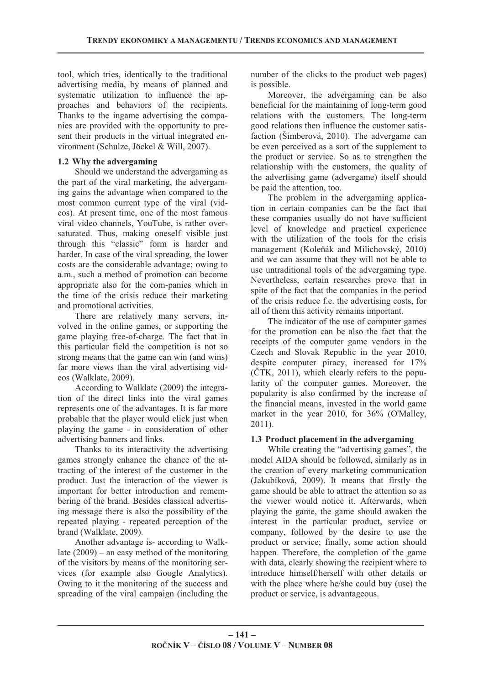tool, which tries, identically to the traditional advertising media, by means of planned and systematic utilization to influence the approaches and behaviors of the recipients. Thanks to the ingame advertising the companies are provided with the opportunity to present their products in the virtual integrated environment (Schulze, Jöckel & Will, 2007).

## **1.2 Why the advergaming**

Should we understand the advergaming as the part of the viral marketing, the advergaming gains the advantage when compared to the most common current type of the viral (videos). At present time, one of the most famous viral video channels, YouTube, is rather oversaturated. Thus, making oneself visible just through this "classic" form is harder and harder. In case of the viral spreading, the lower costs are the considerable advantage; owing to a.m., such a method of promotion can become appropriate also for the com-panies which in the time of the crisis reduce their marketing and promotional activities.

There are relatively many servers, involved in the online games, or supporting the game playing free-of-charge. The fact that in this particular field the competition is not so strong means that the game can win (and wins) far more views than the viral advertising videos (Walklate, 2009).

According to Walklate (2009) the integration of the direct links into the viral games represents one of the advantages. It is far more probable that the player would click just when playing the game - in consideration of other advertising banners and links.

Thanks to its interactivity the advertising games strongly enhance the chance of the attracting of the interest of the customer in the product. Just the interaction of the viewer is important for better introduction and remembering of the brand. Besides classical advertising message there is also the possibility of the repeated playing - repeated perception of the brand (Walklate, 2009).

Another advantage is- according to Walklate (2009) – an easy method of the monitoring of the visitors by means of the monitoring services (for example also Google Analytics). Owing to it the monitoring of the success and spreading of the viral campaign (including the number of the clicks to the product web pages) is possible.

Moreover, the advergaming can be also beneficial for the maintaining of long-term good relations with the customers. The long-term good relations then influence the customer satisfaction (Šimberová, 2010). The advergame can be even perceived as a sort of the supplement to the product or service. So as to strengthen the relationship with the customers, the quality of the advertising game (advergame) itself should be paid the attention, too.

The problem in the advergaming application in certain companies can be the fact that these companies usually do not have sufficient level of knowledge and practical experience with the utilization of the tools for the crisis management (Koleňák and Milichovský, 2010) and we can assume that they will not be able to use untraditional tools of the advergaming type. Nevertheless, certain researches prove that in spite of the fact that the companies in the period of the crisis reduce f.e. the advertising costs, for all of them this activity remains important.

The indicator of the use of computer games for the promotion can be also the fact that the receipts of the computer game vendors in the Czech and Slovak Republic in the year 2010, despite computer piracy, increased for 17%  $(CTK, 2011)$ , which clearly refers to the popularity of the computer games. Moreover, the popularity is also confirmed by the increase of the financial means, invested in the world game market in the year 2010, for 36% (O'Malley, 2011).

## **1.3 Product placement in the advergaming**

While creating the "advertising games", the model AIDA should be followed, similarly as in the creation of every marketing communication (Jakubíková, 2009). It means that firstly the game should be able to attract the attention so as the viewer would notice it. Afterwards, when playing the game, the game should awaken the interest in the particular product, service or company, followed by the desire to use the product or service; finally, some action should happen. Therefore, the completion of the game with data, clearly showing the recipient where to introduce himself/herself with other details or with the place where he/she could buy (use) the product or service, is advantageous.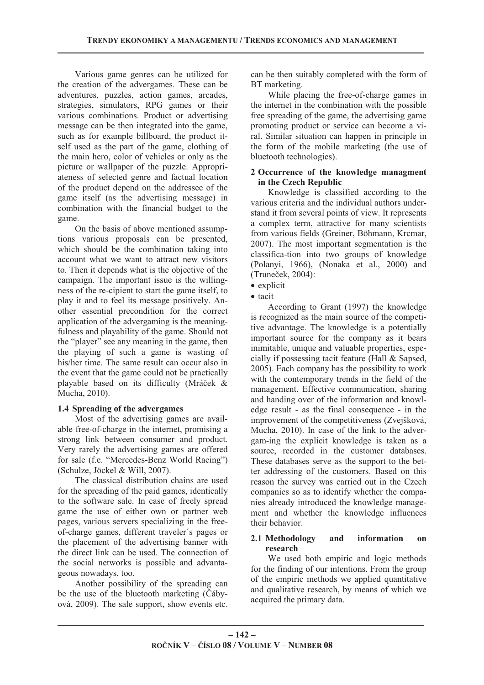Various game genres can be utilized for the creation of the advergames. These can be adventures, puzzles, action games, arcades, strategies, simulators, RPG games or their various combinations. Product or advertising message can be then integrated into the game, such as for example billboard, the product itself used as the part of the game, clothing of the main hero, color of vehicles or only as the picture or wallpaper of the puzzle. Appropriateness of selected genre and factual location of the product depend on the addressee of the game itself (as the advertising message) in combination with the financial budget to the game.

On the basis of above mentioned assumptions various proposals can be presented, which should be the combination taking into account what we want to attract new visitors to. Then it depends what is the objective of the campaign. The important issue is the willingness of the re-cipient to start the game itself, to play it and to feel its message positively. Another essential precondition for the correct application of the advergaming is the meaningfulness and playability of the game. Should not the "player" see any meaning in the game, then the playing of such a game is wasting of his/her time. The same result can occur also in the event that the game could not be practically playable based on its difficulty (Mráček  $\&$ Mucha, 2010).

#### **1.4 Spreading of the advergames**

Most of the advertising games are available free-of-charge in the internet, promising a strong link between consumer and product. Very rarely the advertising games are offered for sale (f.e. "Mercedes-Benz World Racing") (Schulze, Jöckel & Will, 2007).

The classical distribution chains are used for the spreading of the paid games, identically to the software sale. In case of freely spread game the use of either own or partner web pages, various servers specializing in the freeof-charge games, different traveler´s pages or the placement of the advertising banner with the direct link can be used. The connection of the social networks is possible and advantageous nowadays, too.

Another possibility of the spreading can be the use of the bluetooth marketing  $(\check{C}$ ábyová, 2009). The sale support, show events etc. can be then suitably completed with the form of BT marketing.

While placing the free-of-charge games in the internet in the combination with the possible free spreading of the game, the advertising game promoting product or service can become a viral. Similar situation can happen in principle in the form of the mobile marketing (the use of bluetooth technologies).

#### **2 Occurrence of the knowledge managment in the Czech Republic**

Knowledge is classified according to the various criteria and the individual authors understand it from several points of view. It represents a complex term, attractive for many scientists from various fields (Greiner, Böhmann, Krcmar, 2007). The most important segmentation is the classifica-tion into two groups of knowledge (Polanyi, 1966), (Nonaka et al., 2000) and (Truneček, 2004):

• tacit

According to Grant (1997) the knowledge is recognized as the main source of the competitive advantage. The knowledge is a potentially important source for the company as it bears inimitable, unique and valuable properties, especially if possessing tacit feature (Hall & Sapsed, 2005). Each company has the possibility to work with the contemporary trends in the field of the management. Effective communication, sharing and handing over of the information and knowledge result - as the final consequence - in the improvement of the competitiveness (Zvejšková, Mucha, 2010). In case of the link to the advergam-ing the explicit knowledge is taken as a source, recorded in the customer databases. These databases serve as the support to the better addressing of the customers. Based on this reason the survey was carried out in the Czech companies so as to identify whether the companies already introduced the knowledge management and whether the knowledge influences their behavior.

#### **2.1 Methodology and information on research**

We used both empiric and logic methods for the finding of our intentions. From the group of the empiric methods we applied quantitative and qualitative research, by means of which we acquired the primary data.

<sup>•</sup> explicit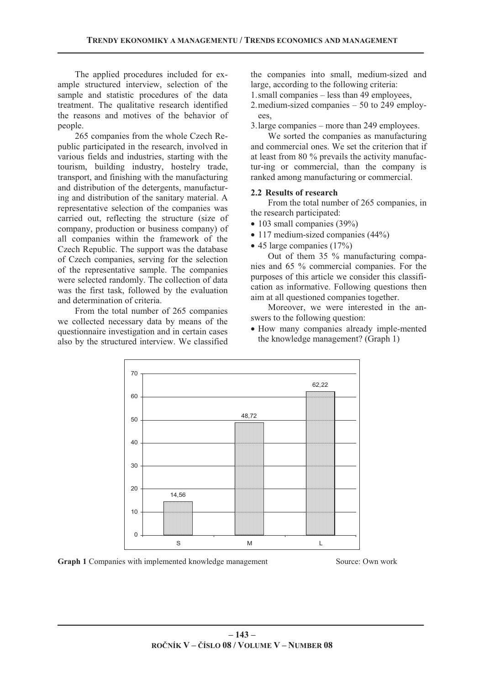The applied procedures included for example structured interview, selection of the sample and statistic procedures of the data treatment. The qualitative research identified the reasons and motives of the behavior of people.

265 companies from the whole Czech Republic participated in the research, involved in various fields and industries, starting with the tourism, building industry, hostelry trade, transport, and finishing with the manufacturing and distribution of the detergents, manufacturing and distribution of the sanitary material. A representative selection of the companies was carried out, reflecting the structure (size of company, production or business company) of all companies within the framework of the Czech Republic. The support was the database of Czech companies, serving for the selection of the representative sample. The companies were selected randomly. The collection of data was the first task, followed by the evaluation and determination of criteria.

From the total number of 265 companies we collected necessary data by means of the questionnaire investigation and in certain cases also by the structured interview. We classified the companies into small, medium-sized and large, according to the following criteria:

1.small companies – less than 49 employees,

2.medium-sized companies – 50 to 249 employees,

3.large companies – more than 249 employees.

We sorted the companies as manufacturing and commercial ones. We set the criterion that if at least from 80 % prevails the activity manufactur-ing or commercial, than the company is ranked among manufacturing or commercial.

#### **2.2 Results of research**

From the total number of 265 companies, in the research participated:

- 103 small companies (39%)
- 117 medium-sized companies (44%)
- 45 large companies (17%)

Out of them 35 % manufacturing companies and 65 % commercial companies. For the purposes of this article we consider this classification as informative. Following questions then aim at all questioned companies together.

Moreover, we were interested in the answers to the following question:

• How many companies already imple-mented the knowledge management? (Graph 1)



**Graph 1** Companies with implemented knowledge management Source: Own work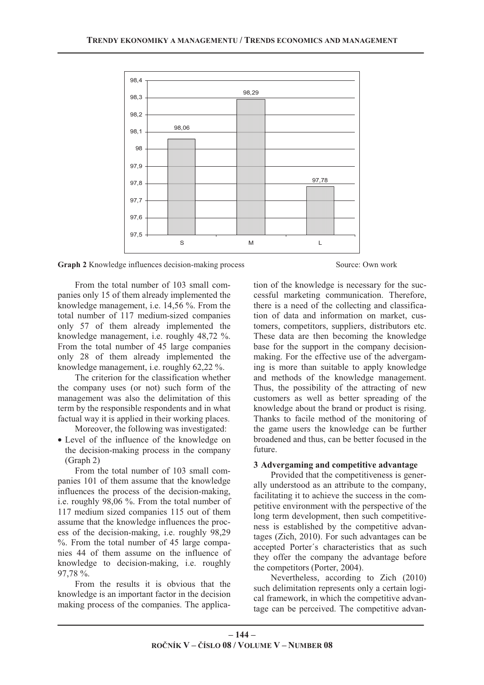

**Graph 2** Knowledge influences decision-making process Source: Own work

From the total number of 103 small companies only 15 of them already implemented the knowledge management, i.e. 14,56 %. From the total number of 117 medium-sized companies only 57 of them already implemented the knowledge management, i.e. roughly 48,72 %. From the total number of 45 large companies only 28 of them already implemented the knowledge management, i.e. roughly 62,22 %.

The criterion for the classification whether the company uses (or not) such form of the management was also the delimitation of this term by the responsible respondents and in what factual way it is applied in their working places.

Moreover, the following was investigated:

• Level of the influence of the knowledge on the decision-making process in the company (Graph 2)

From the total number of 103 small companies 101 of them assume that the knowledge influences the process of the decision-making, i.e. roughly 98,06 %. From the total number of 117 medium sized companies 115 out of them assume that the knowledge influences the process of the decision-making, i.e. roughly 98,29 %. From the total number of 45 large companies 44 of them assume on the influence of knowledge to decision-making, i.e. roughly 97,78 %.

From the results it is obvious that the knowledge is an important factor in the decision making process of the companies. The applica-

tion of the knowledge is necessary for the successful marketing communication. Therefore, there is a need of the collecting and classification of data and information on market, customers, competitors, suppliers, distributors etc. These data are then becoming the knowledge base for the support in the company decisionmaking. For the effective use of the advergaming is more than suitable to apply knowledge and methods of the knowledge management. Thus, the possibility of the attracting of new customers as well as better spreading of the knowledge about the brand or product is rising. Thanks to facile method of the monitoring of the game users the knowledge can be further broadened and thus, can be better focused in the future.

#### **3 Advergaming and competitive advantage**

Provided that the competitiveness is generally understood as an attribute to the company, facilitating it to achieve the success in the competitive environment with the perspective of the long term development, then such competitiveness is established by the competitive advantages (Zich, 2010). For such advantages can be accepted Porter´s characteristics that as such they offer the company the advantage before the competitors (Porter, 2004).

Nevertheless, according to Zich (2010) such delimitation represents only a certain logical framework, in which the competitive advantage can be perceived. The competitive advan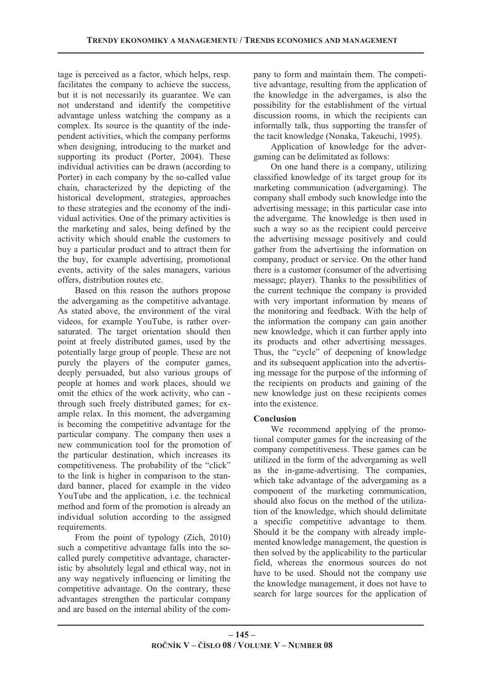tage is perceived as a factor, which helps, resp. facilitates the company to achieve the success, but it is not necessarily its guarantee. We can not understand and identify the competitive advantage unless watching the company as a complex. Its source is the quantity of the independent activities, which the company performs when designing, introducing to the market and supporting its product (Porter, 2004). These individual activities can be drawn (according to Porter) in each company by the so-called value chain, characterized by the depicting of the historical development, strategies, approaches to these strategies and the economy of the individual activities. One of the primary activities is the marketing and sales, being defined by the activity which should enable the customers to buy a particular product and to attract them for the buy, for example advertising, promotional events, activity of the sales managers, various offers, distribution routes etc.

Based on this reason the authors propose the advergaming as the competitive advantage. As stated above, the environment of the viral videos, for example YouTube, is rather oversaturated. The target orientation should then point at freely distributed games, used by the potentially large group of people. These are not purely the players of the computer games, deeply persuaded, but also various groups of people at homes and work places, should we omit the ethics of the work activity, who can through such freely distributed games; for example relax. In this moment, the advergaming is becoming the competitive advantage for the particular company. The company then uses a new communication tool for the promotion of the particular destination, which increases its competitiveness. The probability of the "click" to the link is higher in comparison to the standard banner, placed for example in the video YouTube and the application, i.e. the technical method and form of the promotion is already an individual solution according to the assigned requirements.

From the point of typology (Zich, 2010) such a competitive advantage falls into the socalled purely competitive advantage, characteristic by absolutely legal and ethical way, not in any way negatively influencing or limiting the competitive advantage. On the contrary, these advantages strengthen the particular company and are based on the internal ability of the company to form and maintain them. The competitive advantage, resulting from the application of the knowledge in the advergames, is also the possibility for the establishment of the virtual discussion rooms, in which the recipients can informally talk, thus supporting the transfer of the tacit knowledge (Nonaka, Takeuchi, 1995).

Application of knowledge for the advergaming can be delimitated as follows:

On one hand there is a company, utilizing classified knowledge of its target group for its marketing communication (advergaming). The company shall embody such knowledge into the advertising message; in this particular case into the advergame. The knowledge is then used in such a way so as the recipient could perceive the advertising message positively and could gather from the advertising the information on company, product or service. On the other hand there is a customer (consumer of the advertising message; player). Thanks to the possibilities of the current technique the company is provided with very important information by means of the monitoring and feedback. With the help of the information the company can gain another new knowledge, which it can further apply into its products and other advertising messages. Thus, the "cycle" of deepening of knowledge and its subsequent application into the advertising message for the purpose of the informing of the recipients on products and gaining of the new knowledge just on these recipients comes into the existence.

## **Conclusion**

We recommend applying of the promotional computer games for the increasing of the company competitiveness. These games can be utilized in the form of the advergaming as well as the in-game-advertising. The companies, which take advantage of the advergaming as a component of the marketing communication, should also focus on the method of the utilization of the knowledge, which should delimitate a specific competitive advantage to them. Should it be the company with already implemented knowledge management, the question is then solved by the applicability to the particular field, whereas the enormous sources do not have to be used. Should not the company use the knowledge management, it does not have to search for large sources for the application of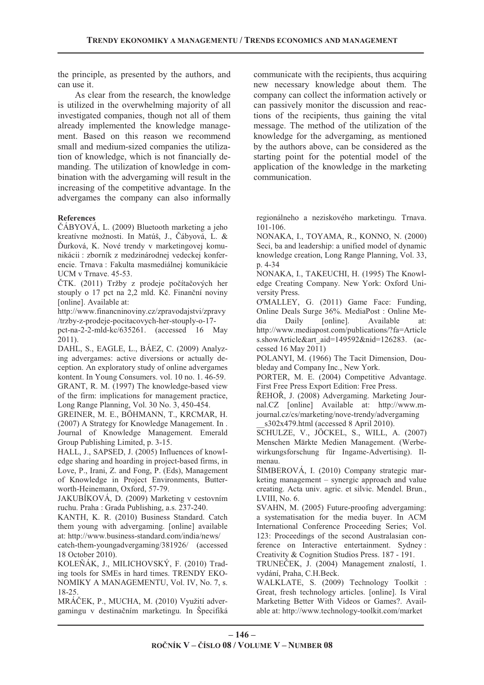the principle, as presented by the authors, and can use it.

As clear from the research, the knowledge is utilized in the overwhelming majority of all investigated companies, though not all of them already implemented the knowledge management. Based on this reason we recommend small and medium-sized companies the utilization of knowledge, which is not financially demanding. The utilization of knowledge in combination with the advergaming will result in the increasing of the competitive advantage. In the advergames the company can also informally

#### **References**

ÁBYOVÁ, L. (2009) Bluetooth marketing a jeho kreatívne možnosti. In Matúš, J., Čábyová, L. & urková, K. Nové trendy v marketingovej komunikácii : zborník z medzinárodnej vedeckej konferencie. Trnava : Fakulta masmediálnej komunikácie UCM v Trnave. 45-53.

ČTK. (2011) Tržby z prodeje počítačových her stouply o 17 pct na 2,2 mld. Kč. Finanční noviny [online]. Available at:

http://www.financninoviny.cz/zpravodajstvi/zpravy /trzby-z-prodeje-pocitacovych-her-stouply-o-17-

pct-na-2-2-mld-kc/635261. (accessed 16 May 2011).

DAHL, S., EAGLE, L., BÁEZ, C. (2009) Analyzing advergames: active diversions or actually deception. An exploratory study of online advergames kontent. In Young Consumers. vol. 10 no. 1. 46-59. GRANT, R. M. (1997) The knowledge-based view of the firm: implications for management practice, Long Range Planning, Vol. 30 No. 3, 450-454.

GREINER, M. E., BÖHMANN, T., KRCMAR, H. (2007) A Strategy for Knowledge Management. In . Journal of Knowledge Management. Emerald Group Publishing Limited, p. 3-15.

HALL, J., SAPSED, J. (2005) Influences of knowledge sharing and hoarding in project-based firms, in Love, P., Irani, Z. and Fong, P. (Eds), Management of Knowledge in Project Environments, Butterworth-Heinemann, Oxford, 57-79.

JAKUBÍKOVÁ, D. (2009) Marketing v cestovním ruchu. Praha : Grada Publishing, a.s. 237-240.

KANTH, K. R. (2010) Business Standard. Catch them young with advergaming. [online] available at: http://www.business-standard.com/india/news/

catch-them-youngadvergaming/381926/ (accessed 18 October 2010).

KOLEÁK, J., MILICHOVSKÝ, F. (2010) Trading tools for SMEs in hard times. TRENDY EKO-NOMIKY A MANAGEMENTU, Vol. IV, No. 7, s. 18-25.

MRÁEK, P., MUCHA, M. (2010) Využití advergamingu v destinačním marketingu. In Špecifiká communicate with the recipients, thus acquiring new necessary knowledge about them. The company can collect the information actively or can passively monitor the discussion and reactions of the recipients, thus gaining the vital message. The method of the utilization of the knowledge for the advergaming, as mentioned by the authors above, can be considered as the starting point for the potential model of the application of the knowledge in the marketing communication.

regionálneho a neziskového marketingu. Trnava. 101-106.

NONAKA, I., TOYAMA, R., KONNO, N. (2000) Seci, ba and leadership: a unified model of dynamic knowledge creation, Long Range Planning, Vol. 33, p. 4-34

NONAKA, I., TAKEUCHI, H. (1995) The Knowledge Creating Company. New York: Oxford University Press.

O'MALLEY, G. (2011) Game Face: Funding, Online Deals Surge 36%. MediaPost : Online Media Daily [online]. Available at: http://www.mediapost.com/publications/?fa=Article s.showArticle&art\_aid=149592&nid=126283. (accessed 16 May 2011)

POLANYI, M. (1966) The Tacit Dimension, Doubleday and Company Inc., New York.

PORTER, M. E. (2004) Competitive Advantage. First Free Press Export Edition: Free Press.

ŘEHOŘ, J. (2008) Advergaming. Marketing Journal.CZ [online] Available at: http://www.mjournal.cz/cs/marketing/nove-trendy/advergaming  $s302x479.html$  (accessed 8 April 2010).

SCHULZE, V., JÖCKEL, S., WILL, A. (2007) Menschen Märkte Medien Management. (Werbewirkungsforschung für Ingame-Advertising). Ilmenau.

ŠIMBEROVÁ, I. (2010) Company strategic marketing management – synergic approach and value creating. Acta univ. agric. et silvic. Mendel. Brun., LVIII, No. 6.

SVAHN, M. (2005) Future-proofing advergaming: a systematisation for the media buyer. In ACM International Conference Proceeding Series; Vol. 123: Proceedings of the second Australasian conference on Interactive entertainment. Sydney : Creativity & Cognition Studios Press. 187 - 191.

TRUNEČEK, J. (2004) Management znalostí, 1. vydání, Praha, C.H.Beck.

WALKLATE, S. (2009) Technology Toolkit : Great, fresh technology articles. [online]. Is Viral Marketing Better With Videos or Games?. Available at: http://www.technology-toolkit.com/market